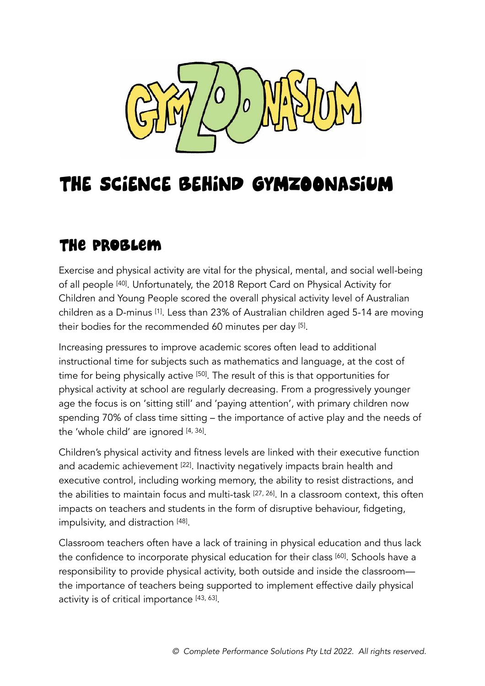

## THE SCIENCE BEHIND GYMZOONASIUM

### The Problem

Exercise and physical activity are vital for the physical, mental, and social well-being of all people [[40\]](#page-8-0). Unfortunately, the 2018 Report Card on Physical Activity for Children and Young People scored the overall physical activity level of Australian children as a D-minus [\[1\]](#page-6-0). Less than 23% of Australian children aged 5-14 are moving their bodies for the recommended 60 minutes per day [\[5\]](#page-6-1) .

Increasing pressures to improve academic scores often lead to additional instructional time for subjects such as mathematics and language, at the cost of time for being physically active [[50\]](#page-9-0). The result of this is that opportunities for physical activity at school are regularly decreasing. From a progressively younger age the focus is on 'sitting still' and 'paying attention', with primary children now spending 70% of class time sitting – the importance of active play and the needs of the 'whole child' are ignored [\[4,](#page-6-2) [36](#page-8-1)] .

Children's physical activity and fitness levels are linked with their executive function and academic achievement <a>[[22\]](#page-7-0)</a>. Inactivity negatively impacts brain health and executive control, including working memory, the ability to resist distractions, and the abilities to maintain focus and multi-task <sup>[[27,](#page-7-1) 26]</sup>. In a classroom context, this often impacts on teachers and students in the form of disruptive behaviour, fidgeting, impulsivity, and distraction [[48\]](#page-9-1) .

Classroom teachers often have a lack of training in physical education and thus lack the confidence to incorporate physical education for their class [\[60](#page-10-0)]. Schools have a responsibility to provide physical activity, both outside and inside the classroom the importance of teachers being supported to implement effective daily physical activity is of critical importance [\[43,](#page-8-2) [63](#page-10-1)] .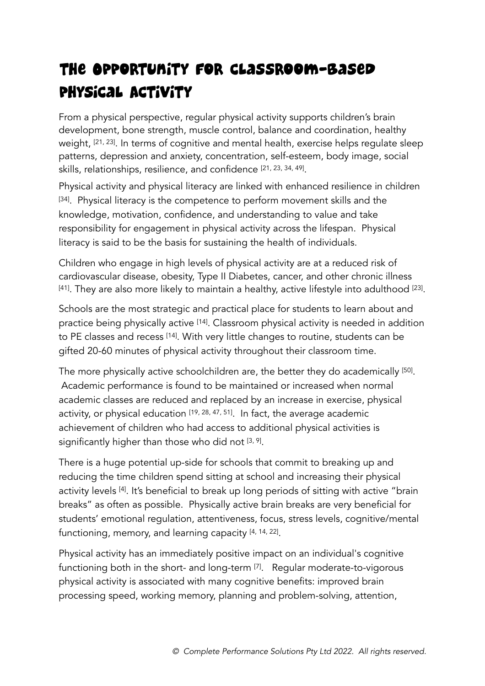## The Opportunity for Classroom-based Physical Activity

From a physical perspective, regular physical activity supports children's brain development, bone strength, muscle control, balance and coordination, healthy weight, [[21,](#page-7-2) [23](#page-7-3)]. In terms of cognitive and mental health, exercise helps regulate sleep patterns, depression and anxiety, concentration, self-esteem, body image, social skills, relationships, resilience, and confidence [\[21,](#page-7-2) [23](#page-7-3), [34,](#page-8-3) [49](#page-9-2)] .

Physical activity and physical literacy are linked with enhanced resilience in children [\[34\]](#page-8-3). Physical literacy is the competence to perform movement skills and the knowledge, motivation, confidence, and understanding to value and take responsibility for engagement in physical activity across the lifespan. Physical literacy is said to be the basis for sustaining the health of individuals.

Children who engage in high levels of physical activity are at a reduced risk of cardiovascular disease, obesity, Type II Diabetes, cancer, and other chronic illness  $^{[41]}$  $^{[41]}$  $^{[41]}$ . They are also more likely to maintain a healthy, active lifestyle into adulthood  $^{[23]}$  $^{[23]}$  $^{[23]}$ .

Schools are the most strategic and practical place for students to learn about and practice being physically active [[14\]](#page-7-4). Classroom physical activity is needed in addition to PE classes and recess [\[14](#page-7-4)]. With very little changes to routine, students can be gifted 20-60 minutes of physical activity throughout their classroom time.

The more physically active schoolchildren are, the better they do academically [\[50](#page-9-0)] . Academic performance is found to be maintained or increased when normal academic classes are reduced and replaced by an increase in exercise, physical activity, or physical education  $[19, 28, 47, 51]$  $[19, 28, 47, 51]$  $[19, 28, 47, 51]$  $[19, 28, 47, 51]$  $[19, 28, 47, 51]$  $[19, 28, 47, 51]$ . In fact, the average academic achievement of children who had access to additional physical activities is significantly higher than those who did not <sup>[\[3,](#page-6-3) [9](#page-6-4)]</sup>.

There is a huge potential up-side for schools that commit to breaking up and reducing the time children spend sitting at school and increasing their physical activity levels [\[4](#page-6-2)]. It's beneficial to break up long periods of sitting with active "brain breaks" as often as possible. Physically active brain breaks are very beneficial for students' emotional regulation, attentiveness, focus, stress levels, cognitive/mental functioning, memory, and learning capacity [\[4,](#page-6-2) [14](#page-7-4), [22](#page-7-0)] .

Physical activity has an immediately positive impact on an individual's cognitive functioning both in the short- and long-term [[7](#page-6-5)]. Regular moderate-to-vigorous physical activity is associated with many cognitive benefits: improved brain processing speed, working memory, planning and problem-solving, attention,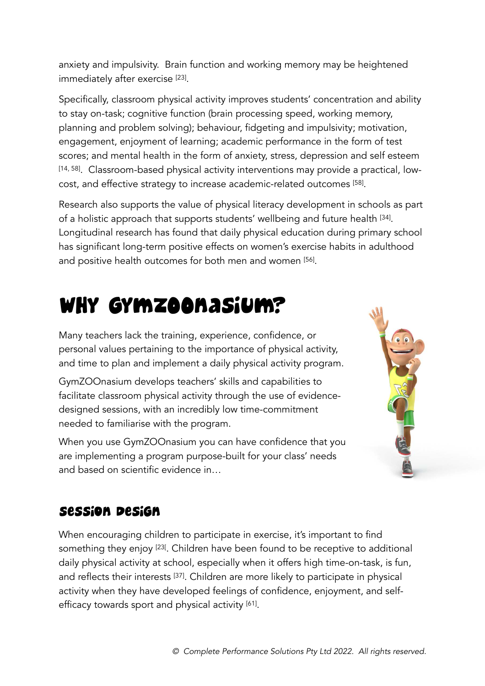anxiety and impulsivity. Brain function and working memory may be heightened immediately after exercise [[23](#page-7-3)] .

Specifically, classroom physical activity improves students' concentration and ability to stay on-task; cognitive function (brain processing speed, working memory, planning and problem solving); behaviour, fidgeting and impulsivity; motivation, engagement, enjoyment of learning; academic performance in the form of test scores; and mental health in the form of anxiety, stress, depression and self esteem [\[14,](#page-7-4) [58](#page-10-2)]. Classroom-based physical activity interventions may provide a practical, lowcost, and effective strategy to increase academic-related outcomes [[58\]](#page-10-2) .

Research also supports the value of physical literacy development in schools as part of a holistic approach that supports students' wellbeing and future health [\[34](#page-8-3)] . Longitudinal research has found that daily physical education during primary school has significant long-term positive effects on women's exercise habits in adulthood and positive health outcomes for both men and women [[56\]](#page-9-5) .

# Why GymZOOnasium?

Many teachers lack the training, experience, confidence, or personal values pertaining to the importance of physical activity, and time to plan and implement a daily physical activity program.

GymZOOnasium develops teachers' skills and capabilities to facilitate classroom physical activity through the use of evidencedesigned sessions, with an incredibly low time-commitment needed to familiarise with the program.

When you use GymZOOnasium you can have confidence that you are implementing a program purpose-built for your class' needs and based on scientific evidence in…



#### Session Design

When encouraging children to participate in exercise, it's important to find something they enjoy [23]. Children have been found to be receptive to additional daily physical activity at school, especially when it offers high time-on-task, is fun, and reflects their interests [\[37](#page-8-6)]. Children are more likely to participate in physical activity when they have developed feelings of confidence, enjoyment, and selfefficacy towards sport and physical activity [\[61\]](#page-10-3) .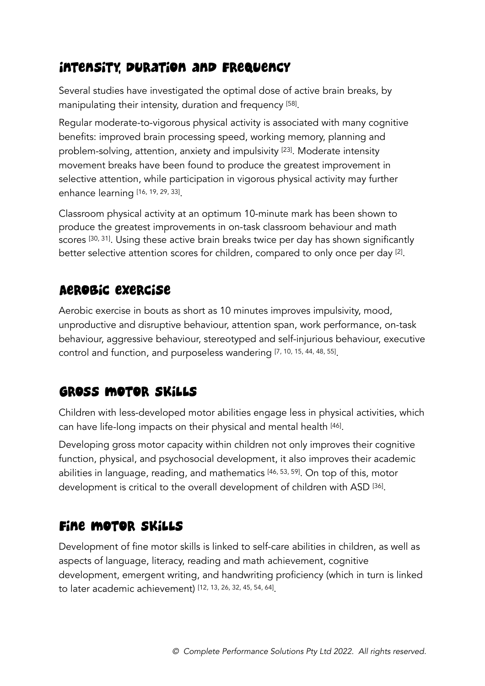#### Intensity, Duration and Frequency

Several studies have investigated the optimal dose of active brain breaks, by manipulating their intensity, duration and frequency [\[58](#page-10-2)] .

Regular moderate-to-vigorous physical activity is associated with many cognitive benefits: improved brain processing speed, working memory, planning and problem-solving, attention, anxiety and impulsivity [\[23](#page-7-3)]. Moderate intensity movement breaks have been found to produce the greatest improvement in selective attention, while participation in vigorous physical activity may further enhance learning [[16,](#page-7-6) [19,](#page-7-5) [29](#page-8-7), [33\]](#page-8-8) .

Classroom physical activity at an optimum 10-minute mark has been shown to produce the greatest improvements in on-task classroom behaviour and math scores [[30,](#page-8-9) [31](#page-8-10)]. Using these active brain breaks twice per day has shown significantly better selective attention scores for children, compared to only once per day [\[2\]](#page-6-6) .

#### Aerobic exercise

Aerobic exercise in bouts as short as 10 minutes improves impulsivity, mood, unproductive and disruptive behaviour, attention span, work performance, on-task behaviour, aggressive behaviour, stereotyped and self-injurious behaviour, executive control and function, and purposeless wandering [[7](#page-6-5), [10,](#page-6-7) [15](#page-7-7), [44](#page-9-6), [48,](#page-9-1) [55](#page-9-7)] .

#### Gross motor skills

Children with less-developed motor abilities engage less in physical activities, which can have life-long impacts on their physical and mental health [[46\]](#page-9-8) .

Developing gross motor capacity within children not only improves their cognitive function, physical, and psychosocial development, it also improves their academic abilities in language, reading, and mathematics [\[46](#page-9-8), [53,](#page-9-9) [59\]](#page-10-4). On top of this, motor development is critical to the overall development of children with ASD [\[36](#page-8-1)] .

#### Fine motor skills

Development of fine motor skills is linked to self-care abilities in children, as well as aspects of language, literacy, reading and math achievement, cognitive development, emergent writing, and handwriting proficiency (which in turn is linked to later academic achievement) [[12,](#page-6-8) [13](#page-6-9), [26](#page-7-8), [32,](#page-8-11) [45](#page-9-10), [54](#page-9-11), [64\]](#page-10-5) .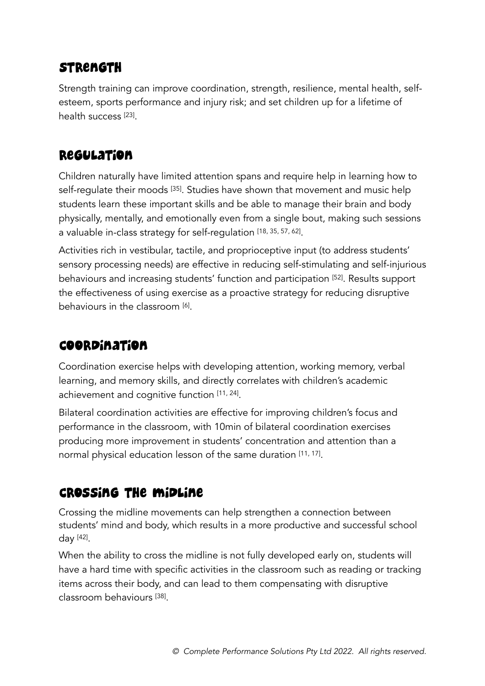#### **STRENGTH**

Strength training can improve coordination, strength, resilience, mental health, selfesteem, sports performance and injury risk; and set children up for a lifetime of health success <sup>[\[23](#page-7-3)]</sup>.

#### **Regulation**

Children naturally have limited attention spans and require help in learning how to self-regulate their moods [[35](#page-8-12)]. Studies have shown that movement and music help students learn these important skills and be able to manage their brain and body physically, mentally, and emotionally even from a single bout, making such sessions a valuable in-class strategy for self-regulation [[18,](#page-7-9) [35](#page-8-12), [57](#page-10-6), [62\]](#page-10-7) .

Activities rich in vestibular, tactile, and proprioceptive input (to address students' sensory processing needs) are effective in reducing self-stimulating and self-injurious behaviours and increasing students' function and participation [[52\]](#page-9-12). Results support the effectiveness of using exercise as a proactive strategy for reducing disruptive behaviours in the classroom [\[6\]](#page-6-10) .

#### Coordination

Coordination exercise helps with developing attention, working memory, verbal learning, and memory skills, and directly correlates with children's academic achievement and cognitive function [\[11](#page-6-11), [24\]](#page-7-10) .

Bilateral coordination activities are effective for improving children's focus and performance in the classroom, with 10min of bilateral coordination exercises producing more improvement in students' concentration and attention than a normal physical education lesson of the same duration [[11,](#page-6-11) [17](#page-7-11)] .

#### Crossing the midline

Crossing the midline movements can help strengthen a connection between students' mind and body, which results in a more productive and successful school day [[42\]](#page-8-13) .

When the ability to cross the midline is not fully developed early on, students will have a hard time with specific activities in the classroom such as reading or tracking items across their body, and can lead to them compensating with disruptive classroom behaviours [[38](#page-8-14)] .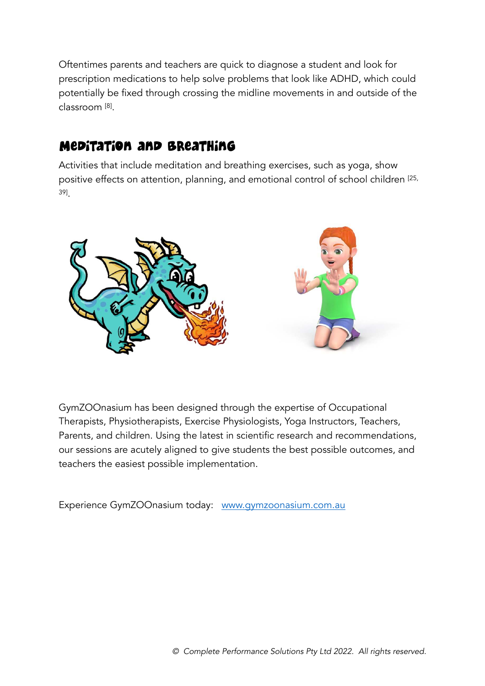Oftentimes parents and teachers are quick to diagnose a student and look for prescription medications to help solve problems that look like ADHD, which could potentially be fixed through crossing the midline movements in and outside of the classroom [[8](#page-6-12)] .

#### Meditation and breathing

Activities that include meditation and breathing exercises, such as yoga, show positive effects on attention, planning, and emotional control of school children [\[25](#page-7-12), [39\]](#page-8-15) .



GymZOOnasium has been designed through the expertise of Occupational Therapists, Physiotherapists, Exercise Physiologists, Yoga Instructors, Teachers, Parents, and children. Using the latest in scientific research and recommendations, our sessions are acutely aligned to give students the best possible outcomes, and teachers the easiest possible implementation.

Experience GymZOOnasium today: [www.gymzoonasium.com.au](https://gymzoonasium.com.au/)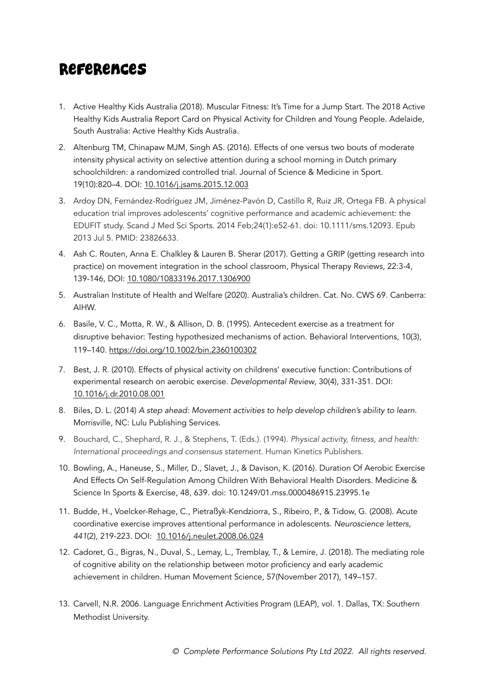#### <span id="page-6-0"></span>References

- 1. Active Healthy Kids Australia (2018). Muscular Fitness: It's Time for a Jump Start. The 2018 Active Healthy Kids Australia Report Card on Physical Activity for Children and Young People. Adelaide, South Australia: Active Healthy Kids Australia.
- <span id="page-6-6"></span>2. Altenburg TM, Chinapaw MJM, Singh AS. (2016). Effects of one versus two bouts of moderate intensity physical activity on selective attention during a school morning in Dutch primary schoolchildren: a randomized controlled trial. Journal of Science & Medicine in Sport. 19(10):820–4. DOI: [10.1016/j.jsams.2015.12.003](https://doi.org/10.1016/j.jsams.2015.12.003)
- <span id="page-6-3"></span>3. Ardoy DN, Fernández-Rodríguez JM, Jiménez-Pavón D, Castillo R, Ruiz JR, Ortega FB. A physical education trial improves adolescents' cognitive performance and academic achievement: the EDUFIT study. Scand J Med Sci Sports. 2014 Feb;24(1):e52-61. doi: 10.1111/sms.12093. Epub 2013 Jul 5. PMID: 23826633.
- <span id="page-6-2"></span>4. Ash C. Routen, Anna E. Chalkley & Lauren B. Sherar (2017). Getting a GRIP (getting research into practice) on movement integration in the school classroom, Physical Therapy Reviews, 22:3-4, 139-146, DOI: [10.1080/10833196.2017.1306900](https://doi.org/10.1080/10833196.2017.1306900)
- <span id="page-6-1"></span>5. Australian Institute of Health and Welfare (2020). Australia's children. Cat. No. CWS 69. Canberra: AIHW.
- <span id="page-6-10"></span>6. Basile, V. C., Motta, R. W., & Allison, D. B. (1995). Antecedent exercise as a treatment for disruptive behavior: Testing hypothesized mechanisms of action. Behavioral Interventions, 10(3), 119–140. <https://doi.org/10.1002/bin.2360100302>
- <span id="page-6-5"></span>7. Best, J. R. (2010). Effects of physical activity on childrens' executive function: Contributions of experimental research on aerobic exercise. Developmental Review, 30(4), 331-351. DOI: [10.1016/j.dr.2010.08.001](http://dx.doi.org/10.1016/j.dr.2010.08.001)
- <span id="page-6-12"></span>8. Biles, D. L. (2014) A step ahead: Movement activities to help develop children's ability to learn. Morrisville, NC: Lulu Publishing Services.
- <span id="page-6-4"></span>9. Bouchard, C., Shephard, R. J., & Stephens, T. (Eds.). (1994). Physical activity, fitness, and health: International proceedings and consensus statement. Human Kinetics Publishers.
- <span id="page-6-7"></span>10. Bowling, A., Haneuse, S., Miller, D., Slavet, J., & Davison, K. (2016). Duration Of Aerobic Exercise And Effects On Self-Regulation Among Children With Behavioral Health Disorders. Medicine & Science In Sports & Exercise, 48, 639. doi: 10.1249/01.mss.0000486915.23995.1e
- <span id="page-6-11"></span>11. Budde, H., Voelcker-Rehage, C., Pietraßyk-Kendziorra, S., Ribeiro, P., & Tidow, G. (2008). Acute coordinative exercise improves attentional performance in adolescents. Neuroscience letters, 441(2), 219-223. DOI: [10.1016/j.neulet.2008.06.024](https://doi.org/10.1016/j.neulet.2008.06.024)
- <span id="page-6-8"></span>12. Cadoret, G., Bigras, N., Duval, S., Lemay, L., Tremblay, T., & Lemire, J. (2018). The mediating role of cognitive ability on the relationship between motor proficiency and early academic achievement in children. Human Movement Science, 57(November 2017), 149–157.
- <span id="page-6-9"></span>13. Carvell, N.R. 2006. Language Enrichment Activities Program (LEAP), vol. 1. Dallas, TX: Southern Methodist University.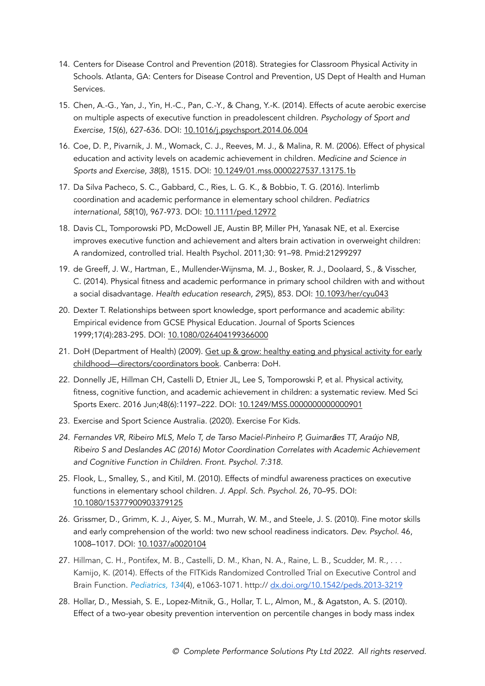- <span id="page-7-4"></span>14. Centers for Disease Control and Prevention (2018). Strategies for Classroom Physical Activity in Schools. Atlanta, GA: Centers for Disease Control and Prevention, US Dept of Health and Human Services.
- <span id="page-7-7"></span>15. Chen, A.-G., Yan, J., Yin, H.-C., Pan, C.-Y., & Chang, Y.-K. (2014). Effects of acute aerobic exercise on multiple aspects of executive function in preadolescent children. Psychology of Sport and Exercise, 15(6), 627-636. DOI: [10.1016/j.psychsport.2014.06.004](http://dx.doi.org/10.1016/j.psychsport.2014.06.004)
- <span id="page-7-6"></span>16. Coe, D. P., Pivarnik, J. M., Womack, C. J., Reeves, M. J., & Malina, R. M. (2006). Effect of physical education and activity levels on academic achievement in children. Medicine and Science in Sports and Exercise, 38(8), 1515. DOI: [10.1249/01.mss.0000227537.13175.1b](https://doi.org/10.1249/01.mss.0000227537.13175.1b)
- <span id="page-7-11"></span>17. Da Silva Pacheco, S. C., Gabbard, C., Ries, L. G. K., & Bobbio, T. G. (2016). Interlimb coordination and academic performance in elementary school children. Pediatrics international, 58(10), 967-973. DOI: [10.1111/ped.12972](https://doi.org/10.1111/ped.12972)
- <span id="page-7-9"></span>18. Davis CL, Tomporowski PD, McDowell JE, Austin BP, Miller PH, Yanasak NE, et al. Exercise improves executive function and achievement and alters brain activation in overweight children: A randomized, controlled trial. Health Psychol. 2011;30: 91–98. Pmid:21299297
- <span id="page-7-5"></span>19. de Greeff, J. W., Hartman, E., Mullender-Wijnsma, M. J., Bosker, R. J., Doolaard, S., & Visscher, C. (2014). Physical fitness and academic performance in primary school children with and without a social disadvantage. Health education research, 29(5), 853. DOI: [10.1093/her/cyu043](http://dx.doi.org/10.1093/her/cyu043)
- 20. Dexter T. Relationships between sport knowledge, sport performance and academic ability: Empirical evidence from GCSE Physical Education. Journal of Sports Sciences 1999;17(4):283-295. DOI: [10.1080/026404199366000](https://doi.org/10.1080/026404199366000)
- <span id="page-7-2"></span>21. DoH (Department of Health) (2009). Get up & grow: healthy eating and physical activity for early [childhood—directors/coordinators book. Canberra: DoH.](http://www.health.gov.au/internet/publications/publishing.nsf/Content/gug-director-toc~gug-physicalactivity~gug-physicalactivity-toddlers)
- <span id="page-7-0"></span>22. Donnelly JE, Hillman CH, Castelli D, Etnier JL, Lee S, Tomporowski P, et al. Physical activity, fitness, cognitive function, and academic achievement in children: a systematic review. Med Sci Sports Exerc. 2016 Jun;48(6):1197–222. DOI: [10.1249/MSS.0000000000000901](https://doi.org/10.1249/mss.0000000000000901)
- <span id="page-7-3"></span>23. Exercise and Sport Science Australia. (2020). Exercise For Kids.
- <span id="page-7-10"></span>24. Fernandes VR, Ribeiro MLS, Melo T, de Tarso Maciel-Pinheiro P, Guimarães TT, Araújo NB, Ribeiro S and Deslandes AC (2016) Motor Coordination Correlates with Academic Achievement and Cognitive Function in Children. Front. Psychol. 7:318.
- <span id="page-7-12"></span>25. Flook, L., Smalley, S., and Kitil, M. (2010). Effects of mindful awareness practices on executive functions in elementary school children. J. Appl. Sch. Psychol. 26, 70–95. DOI: [10.1080/15377900903379125](https://doi.org/10.1080/15377900903379125)
- <span id="page-7-8"></span>26. Grissmer, D., Grimm, K. J., Aiyer, S. M., Murrah, W. M., and Steele, J. S. (2010). Fine motor skills and early comprehension of the world: two new school readiness indicators. Dev. Psychol. 46, 1008–1017. DOI: [10.1037/a0020104](https://doi.org/10.1037/a0020104)
- <span id="page-7-1"></span>27. Hillman, C. H., Pontifex, M. B., Castelli, D. M., Khan, N. A., Raine, L. B., Scudder, M. R., . . . Kamijo, K. (2014). Effects of the FITKids Randomized Controlled Trial on Executive Control and Brain Function. Pediatrics, 134(4), e1063-1071. http:// [dx.doi.org/10.1542/peds.2013-3219](http://dx.doi.org/10.1542/peds.2013-3219)
- 28. Hollar, D., Messiah, S. E., Lopez-Mitnik, G., Hollar, T. L., Almon, M., & Agatston, A. S. (2010). Effect of a two-year obesity prevention intervention on percentile changes in body mass index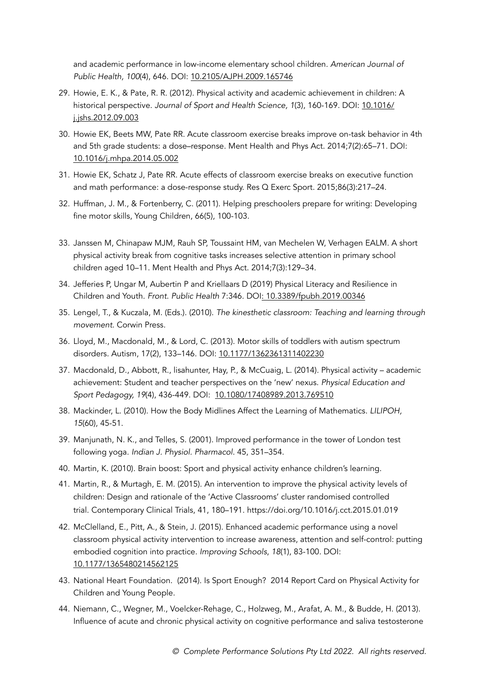and academic performance in low-income elementary school children. American Journal of Public Health, 100(4), 646. DOI: [10.2105/AJPH.2009.165746](https://dx.doi.org/10.2105/AJPH.2009.165746)

- <span id="page-8-7"></span>29. Howie, E. K., & Pate, R. R. (2012). Physical activity and academic achievement in children: A historical perspective. Journal of Sport and Health Science, 1(3), 160-169. DOI: [10.1016/](http://dx.doi.org/10.1016/j.jshs.2012.09.003) [j.jshs.2012.09.003](http://dx.doi.org/10.1016/j.jshs.2012.09.003)
- <span id="page-8-9"></span>30. Howie EK, Beets MW, Pate RR. Acute classroom exercise breaks improve on-task behavior in 4th and 5th grade students: a dose–response. Ment Health and Phys Act. 2014;7(2):65–71. DOI: [10.1016/j.mhpa.2014.05.002](http://doi.org/10.1016/j.mhpa.2014.05.002)
- <span id="page-8-10"></span>31. Howie EK, Schatz J, Pate RR. Acute effects of classroom exercise breaks on executive function and math performance: a dose-response study. Res Q Exerc Sport. 2015;86(3):217–24.
- <span id="page-8-11"></span>32. Huffman, J. M., & Fortenberry, C. (2011). Helping preschoolers prepare for writing: Developing fine motor skills, Young Children, 66(5), 100-103.
- <span id="page-8-8"></span>33. Janssen M, Chinapaw MJM, Rauh SP, Toussaint HM, van Mechelen W, Verhagen EALM. A short physical activity break from cognitive tasks increases selective attention in primary school children aged 10–11. Ment Health and Phys Act. 2014;7(3):129–34.
- <span id="page-8-3"></span>34. Jefferies P, Ungar M, Aubertin P and Kriellaars D (2019) Physical Literacy and Resilience in Children and Youth. Front. Public Health 7:346. DOI[: 10.3389/fpubh.2019.00346](https://doi.org/10.3389/fpubh.2019.00346)
- <span id="page-8-12"></span>35. Lengel, T., & Kuczala, M. (Eds.). (2010). The kinesthetic classroom: Teaching and learning through movement. Corwin Press.
- <span id="page-8-1"></span>36. Lloyd, M., Macdonald, M., & Lord, C. (2013). Motor skills of toddlers with autism spectrum disorders. Autism, 17(2), 133–146. DOI: [10.1177/1362361311402230](https://doi.org/10.1177/1362361311402230)
- <span id="page-8-6"></span>37. Macdonald, D., Abbott, R., lisahunter, Hay, P., & McCuaig, L. (2014). Physical activity – academic achievement: Student and teacher perspectives on the 'new' nexus. Physical Education and Sport Pedagogy, 19(4), 436-449. DOI: [10.1080/17408989.2013.769510](https://doi.org/10.1080/17408989.2013.769510)
- <span id="page-8-14"></span>38. Mackinder, L. (2010). How the Body Midlines Affect the Learning of Mathematics. LILIPOH, 15(60), 45-51.
- <span id="page-8-15"></span>39. Manjunath, N. K., and Telles, S. (2001). Improved performance in the tower of London test following yoga. Indian J. Physiol. Pharmacol. 45, 351–354.
- <span id="page-8-0"></span>40. Martin, K. (2010). Brain boost: Sport and physical activity enhance children's learning.
- <span id="page-8-4"></span>41. Martin, R., & Murtagh, E. M. (2015). An intervention to improve the physical activity levels of children: Design and rationale of the 'Active Classrooms' cluster randomised controlled trial. Contemporary Clinical Trials, 41, 180–191. https://doi.org/10.1016/j.cct.2015.01.019
- <span id="page-8-13"></span>42. McClelland, E., Pitt, A., & Stein, J. (2015). Enhanced academic performance using a novel classroom physical activity intervention to increase awareness, attention and self-control: putting embodied cognition into practice. Improving Schools, 18(1), 83-100. DOI: [10.1177/1365480214562125](https://doi.org/10.1177/1365480214562125)
- <span id="page-8-2"></span>43. National Heart Foundation. (2014). Is Sport Enough? 2014 Report Card on Physical Activity for Children and Young People.
- <span id="page-8-5"></span>44. Niemann, C., Wegner, M., Voelcker-Rehage, C., Holzweg, M., Arafat, A. M., & Budde, H. (2013). Influence of acute and chronic physical activity on cognitive performance and saliva testosterone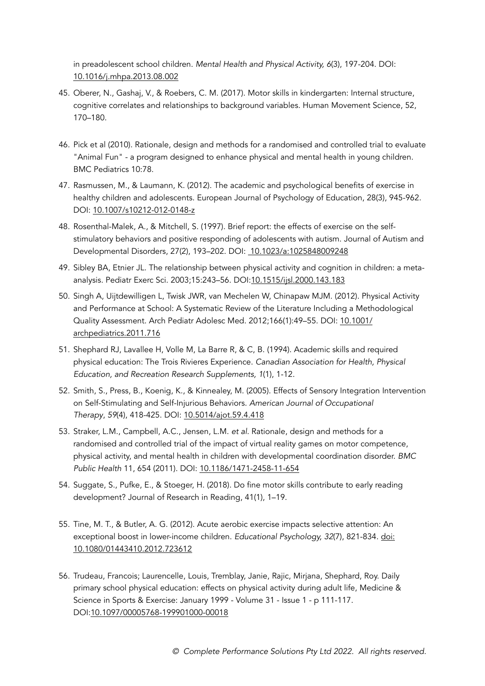in preadolescent school children. Mental Health and Physical Activity, 6(3), 197-204. DOI: [10.1016/j.mhpa.2013.08.002](http://dx.doi.org/10.1016/j.mhpa.2013.08.002) 

- <span id="page-9-10"></span>45. Oberer, N., Gashaj, V., & Roebers, C. M. (2017). Motor skills in kindergarten: Internal structure, cognitive correlates and relationships to background variables. Human Movement Science, 52, 170–180.
- <span id="page-9-8"></span>46. Pick et al (2010). Rationale, design and methods for a randomised and controlled trial to evaluate "Animal Fun" - a program designed to enhance physical and mental health in young children. BMC Pediatrics 10:78.
- <span id="page-9-3"></span>47. Rasmussen, M., & Laumann, K. (2012). The academic and psychological benefits of exercise in healthy children and adolescents. European Journal of Psychology of Education, 28(3), 945-962. DOI: [10.1007/s10212-012-0148-z](http://doi.org/10.1007/s10212-012-0148-z)
- <span id="page-9-1"></span>48. Rosenthal-Malek, A., & Mitchell, S. (1997). Brief report: the effects of exercise on the selfstimulatory behaviors and positive responding of adolescents with autism. Journal of Autism and Developmental Disorders, 27(2), 193–202. DOI: [10.1023/a:1025848009248](https://doi.org/10.1023/a:1025848009248)
- <span id="page-9-2"></span>49. Sibley BA, Etnier JL. The relationship between physical activity and cognition in children: a metaanalysis. Pediatr Exerc Sci. 2003;15:243–56. DOI:[10.1515/ijsl.2000.143.183](http://dx.doi.org/10.1515/ijsl.2000.143.183)
- <span id="page-9-0"></span>50. Singh A, Uijtdewilligen L, Twisk JWR, van Mechelen W, Chinapaw MJM. (2012). Physical Activity and Performance at School: A Systematic Review of the Literature Including a Methodological Quality Assessment. Arch Pediatr Adolesc Med. 2012;166(1):49–55. DOI: [10.1001/](https://doi.org/10.1001/archpediatrics.2011.716) [archpediatrics.2011.716](https://doi.org/10.1001/archpediatrics.2011.716)
- <span id="page-9-4"></span>51. Shephard RJ, Lavallee H, Volle M, La Barre R, & C, B. (1994). Academic skills and required physical education: The Trois Rivieres Experience. Canadian Association for Health, Physical Education, and Recreation Research Supplements, 1(1), 1-12.
- <span id="page-9-12"></span>52. Smith, S., Press, B., Koenig, K., & Kinnealey, M. (2005). Effects of Sensory Integration Intervention on Self-Stimulating and Self-Injurious Behaviors. American Journal of Occupational Therapy, 59(4), 418-425. DOI: [10.5014/ajot.59.4.418](https://doi.org/10.5014/ajot.59.4.418)
- <span id="page-9-9"></span>53. Straker, L.M., Campbell, A.C., Jensen, L.M. et al. Rationale, design and methods for a randomised and controlled trial of the impact of virtual reality games on motor competence, physical activity, and mental health in children with developmental coordination disorder. BMC Public Health 11, 654 (2011). DOI: [10.1186/1471-2458-11-654](https://doi.org/10.1186/1471-2458-11-654)
- <span id="page-9-11"></span><span id="page-9-7"></span>54. Suggate, S., Pufke, E., & Stoeger, H. (2018). Do fine motor skills contribute to early reading development? Journal of Research in Reading, 41(1), 1–19.
- 55. Tine, M. T., & Butler, A. G. (2012). Acute aerobic exercise impacts selective attention: An exceptional boost in lower-income children. Educational Psychology, 32(7), 821-834. [doi:](https://doi.org/10.1080/01443410.2012.723612)  [10.1080/01443410.2012.723612](https://doi.org/10.1080/01443410.2012.723612)
- <span id="page-9-6"></span><span id="page-9-5"></span>56. Trudeau, Francois; Laurencelle, Louis, Tremblay, Janie, Rajic, Mirjana, Shephard, Roy. Daily primary school physical education: effects on physical activity during adult life, Medicine & Science in Sports & Exercise: January 1999 - Volume 31 - Issue 1 - p 111-117. DOI[:10.1097/00005768-199901000-00018](http://dx.doi.org/10.1097/00005768-199901000-00018)